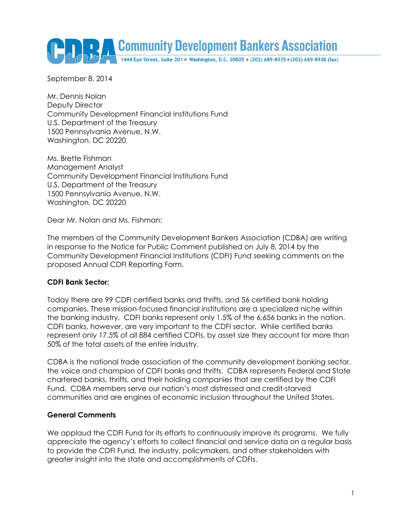Community Development Bankers Association

September 8, 2014

Mr. Dennis Nolan Deputy Director Community Development Financial Institutions Fund U.S. Department of the Treasury 1500 Pennsylvania Avenue, N.W. Washington, DC 20220

Ms. Brette Fishman Management Analyst Community Development Financial Institutions Fund U.S. Department of the Treasury 1500 Pennsylvania Avenue, N.W. Washington, DC 20220

Dear Mr. Nolan and Ms. Fishman:

The members of the Community Development Bankers Association (CDBA) are writing in response to the Notice for Public Comment published on July 8, 2014 by the Community Development Financial Institutions (CDFI) Fund seeking comments on the proposed Annual CDFI Reporting Form.

#### **CDFI Bank Sector:**

Today there are 99 CDFI certified banks and thrifts, and 56 certified bank holding companies. These mission-focused financial institutions are a specialized niche within the banking industry. CDFI banks represent only 1.5% of the 6,656 banks in the nation. CDFI banks, however, are very important to the CDFI sector. While certified banks represent only 17.5% of all 884 certified CDFIs, by asset size they account for more than 50% of the total assets of the entire industry.

CDBA is the national trade association of the community development banking sector, the voice and champion of CDFI banks and thrifts. CDBA represents Federal and State chartered banks, thrifts, and their holding companies that are certified by the CDFI Fund. CDBA members serve our nation's most distressed and credit-starved communities and are engines of economic inclusion throughout the United States.

#### **General Comments**

We applaud the CDFI Fund for its efforts to continuously improve its programs. We fully appreciate the agency's efforts to collect financial and service data on a regular basis to provide the CDFI Fund, the industry, policymakers, and other stakeholders with greater insight into the state and accomplishments of CDFIs.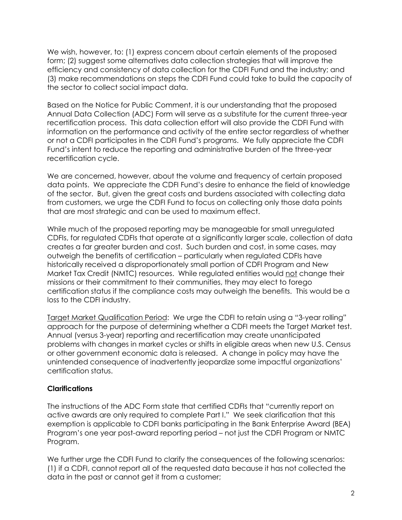We wish, however, to: (1) express concern about certain elements of the proposed form; (2) suggest some alternatives data collection strategies that will improve the efficiency and consistency of data collection for the CDFI Fund and the industry; and (3) make recommendations on steps the CDFI Fund could take to build the capacity of the sector to collect social impact data.

Based on the Notice for Public Comment, it is our understanding that the proposed Annual Data Collection (ADC) Form will serve as a substitute for the current three-year recertification process. This data collection effort will also provide the CDFI Fund with information on the performance and activity of the entire sector regardless of whether or not a CDFI participates in the CDFI Fund's programs. We fully appreciate the CDFI Fund's intent to reduce the reporting and administrative burden of the three-year recertification cycle.

We are concerned, however, about the volume and frequency of certain proposed data points. We appreciate the CDFI Fund's desire to enhance the field of knowledge of the sector. But, given the great costs and burdens associated with collecting data from customers, we urge the CDFI Fund to focus on collecting only those data points that are most strategic and can be used to maximum effect.

While much of the proposed reporting may be manageable for small unregulated CDFIs, for regulated CDFIs that operate at a significantly larger scale, collection of data creates a far greater burden and cost. Such burden and cost, in some cases, may outweigh the benefits of certification – particularly when regulated CDFIs have historically received a disproportionately small portion of CDFI Program and New Market Tax Credit (NMTC) resources. While regulated entities would not change their missions or their commitment to their communities, they may elect to forego certification status if the compliance costs may outweigh the benefits. This would be a loss to the CDFI industry.

Target Market Qualification Period: We urge the CDFI to retain using a "3-year rolling" approach for the purpose of determining whether a CDFI meets the Target Market test. Annual (versus 3-year) reporting and recertification may create unanticipated problems with changes in market cycles or shifts in eligible areas when new U.S. Census or other government economic data is released. A change in policy may have the unintended consequence of inadvertently jeopardize some impactful organizations' certification status.

# **Clarifications**

The instructions of the ADC Form state that certified CDFIs that "currently report on active awards are only required to complete Part I." We seek clarification that this exemption is applicable to CDFI banks participating in the Bank Enterprise Award (BEA) Program's one year post-award reporting period – not just the CDFI Program or NMTC Program.

We further urge the CDFI Fund to clarify the consequences of the following scenarios: (1) if a CDFI, cannot report all of the requested data because it has not collected the data in the past or cannot get it from a customer;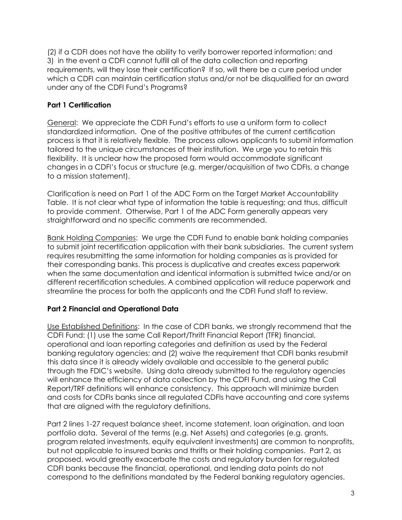(2) if a CDFI does not have the ability to verify borrower reported information; and 3) in the event a CDFI cannot fulfill all of the data collection and reporting requirements, will they lose their certification? If so, will there be a cure period under which a CDFI can maintain certification status and/or not be disqualified for an award under any of the CDFI Fund's Programs?

# **Part 1 Certification**

General: We appreciate the CDFI Fund's efforts to use a uniform form to collect standardized information. One of the positive attributes of the current certification process is that it is relatively flexible. The process allows applicants to submit information tailored to the unique circumstances of their institution. We urge you to retain this flexibility. It is unclear how the proposed form would accommodate significant changes in a CDFI's focus or structure (e.g. merger/acquisition of two CDFIs, a change to a mission statement).

Clarification is need on Part 1 of the ADC Form on the Target Market Accountability Table. It is not clear what type of information the table is requesting; and thus, difficult to provide comment. Otherwise, Part 1 of the ADC Form generally appears very straightforward and no specific comments are recommended.

Bank Holding Companies: We urge the CDFI Fund to enable bank holding companies to submit joint recertification application with their bank subsidiaries. The current system requires resubmitting the same information for holding companies as is provided for their corresponding banks. This process is duplicative and creates excess paperwork when the same documentation and identical information is submitted twice and/or on different recertification schedules. A combined application will reduce paperwork and streamline the process for both the applicants and the CDFI Fund staff to review.

# **Part 2 Financial and Operational Data**

Use Established Definitions: In the case of CDFI banks, we strongly recommend that the CDFI Fund: (1) use the same Call Report/Thrift Financial Report (TFR) financial, operational and loan reporting categories and definition as used by the Federal banking regulatory agencies; and (2) waive the requirement that CDFI banks resubmit this data since it is already widely available and accessible to the general public through the FDIC's website. Using data already submitted to the regulatory agencies will enhance the efficiency of data collection by the CDFI Fund, and using the Call Report/TRF definitions will enhance consistency. This approach will minimize burden and costs for CDFIs banks since all regulated CDFIs have accounting and core systems that are aligned with the regulatory definitions.

Part 2 lines 1-27 request balance sheet, income statement, loan origination, and loan portfolio data. Several of the terms (e.g. Net Assets) and categories (e.g. grants, program related investments, equity equivalent investments) are common to nonprofits, but not applicable to insured banks and thrifts or their holding companies. Part 2, as proposed, would greatly exacerbate the costs and regulatory burden for regulated CDFI banks because the financial, operational, and lending data points do not correspond to the definitions mandated by the Federal banking regulatory agencies.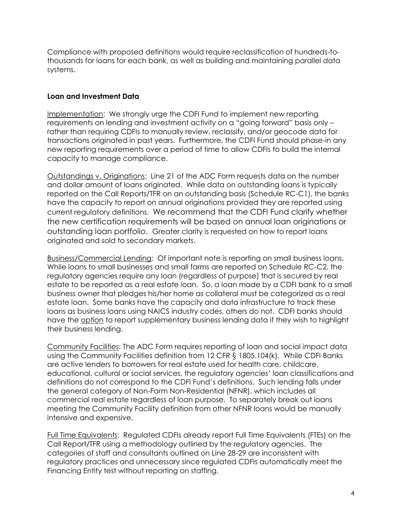Compliance with proposed definitions would require reclassification of hundreds-tothousands for loans for each bank, as well as building and maintaining parallel data systems.

# **Loan and Investment Data**

Implementation: We strongly urge the CDFI Fund to implement new reporting requirements on lending and investment activity on a "going forward" basis only – rather than requiring CDFIs to manually review, reclassify, and/or geocode data for transactions originated in past years. Furthermore, the CDFI Fund should phase-in any new reporting requirements over a period of time to allow CDFIs to build the internal capacity to manage compliance.

Outstandings v. Originations: Line 21 of the ADC Form requests data on the number and dollar amount of loans originated. While data on outstanding loans is typically reported on the Call Reports/TFR on an outstanding basis (Schedule RC-C1), the banks have the capacity to report on annual originations provided they are reported using current regulatory definitions. We recommend that the CDFI Fund clarify whether the new certification requirements will be based on annual loan originations or outstanding loan portfolio. Greater clarity is requested on how to report loans originated and sold to secondary markets.

Business/Commercial Lending: Of important note is reporting on small business loans. While loans to small businesses and small farms are reported on Schedule RC-C2, the regulatory agencies require any loan (regardless of purpose) that is secured by real estate to be reported as a real estate loan. So, a loan made by a CDFI bank to a small business owner that pledges his/her home as collateral must be categorized as a real estate loan. Some banks have the capacity and data infrastructure to track these loans as business loans using NAICS industry codes, others do not. CDFI banks should have the option to report supplementary business lending data if they wish to highlight their business lending.

Community Facilities: The ADC Form requires reporting of loan and social impact data using the Community Facilities definition from 12 CFR § 1805.104(k). While CDFI Banks are active lenders to borrowers for real estate used for health care, childcare, educational, cultural or social services, the regulatory agencies' loan classifications and definitions do not correspond to the CDFI Fund's definitions. Such lending falls under the general category of Non-Farm Non-Residential (NFNR), which includes all commercial real estate regardless of loan purpose. To separately break out loans meeting the Community Facility definition from other NFNR loans would be manually intensive and expensive.

Full Time Equivalents: Regulated CDFIs already report Full Time Equivalents (FTEs) on the Call Report/TFR using a methodology outlined by the regulatory agencies. The categories of staff and consultants outlined on Line 28-29 are inconsistent with regulatory practices and unnecessary since regulated CDFIs automatically meet the Financing Entity test without reporting on staffing.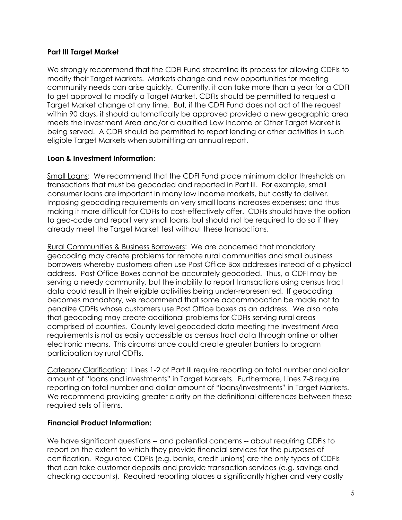# **Part III Target Market**

We strongly recommend that the CDFI Fund streamline its process for allowing CDFIs to modify their Target Markets. Markets change and new opportunities for meeting community needs can arise quickly. Currently, it can take more than a year for a CDFI to get approval to modify a Target Market. CDFIs should be permitted to request a Target Market change at any time. But, if the CDFI Fund does not act of the request within 90 days, it should automatically be approved provided a new geographic area meets the Investment Area and/or a qualified Low Income or Other Target Market is being served. A CDFI should be permitted to report lending or other activities in such eligible Target Markets when submitting an annual report.

#### **Loan & Investment Information**:

Small Loans: We recommend that the CDFI Fund place minimum dollar thresholds on transactions that must be geocoded and reported in Part III. For example, small consumer loans are important in many low income markets, but costly to deliver. Imposing geocoding requirements on very small loans increases expenses; and thus making it more difficult for CDFIs to cost-effectively offer. CDFIs should have the option to geo-code and report very small loans, but should not be required to do so if they already meet the Target Market test without these transactions.

Rural Communities & Business Borrowers: We are concerned that mandatory geocoding may create problems for remote rural communities and small business borrowers whereby customers often use Post Office Box addresses instead of a physical address. Post Office Boxes cannot be accurately geocoded. Thus, a CDFI may be serving a needy community, but the inability to report transactions using census tract data could result in their eligible activities being under-represented. If geocoding becomes mandatory, we recommend that some accommodation be made not to penalize CDFIs whose customers use Post Office boxes as an address. We also note that geocoding may create additional problems for CDFIs serving rural areas comprised of counties. County level geocoded data meeting the Investment Area requirements is not as easily accessible as census tract data through online or other electronic means. This circumstance could create greater barriers to program participation by rural CDFIs.

Category Clarification: Lines 1-2 of Part III require reporting on total number and dollar amount of "loans and investments" in Target Markets. Furthermore, Lines 7-8 require reporting on total number and dollar amount of "loans/investments" in Target Markets. We recommend providing greater clarity on the definitional differences between these required sets of items.

# **Financial Product Information:**

We have significant questions -- and potential concerns -- about requiring CDFIs to report on the extent to which they provide financial services for the purposes of certification. Regulated CDFIs (e.g. banks, credit unions) are the only types of CDFIs that can take customer deposits and provide transaction services (e.g. savings and checking accounts). Required reporting places a significantly higher and very costly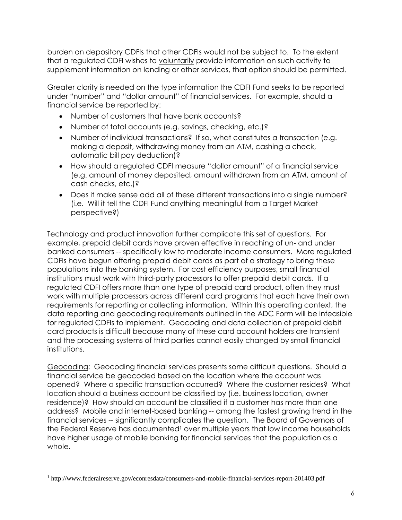burden on depository CDFIs that other CDFIs would not be subject to. To the extent that a regulated CDFI wishes to voluntarily provide information on such activity to supplement information on lending or other services, that option should be permitted.

Greater clarity is needed on the type information the CDFI Fund seeks to be reported under "number" and "dollar amount" of financial services. For example, should a financial service be reported by:

- Number of customers that have bank accounts?
- Number of total accounts (e.g. savings, checking, etc.)?
- Number of individual transactions? If so, what constitutes a transaction (e.g. making a deposit, withdrawing money from an ATM, cashing a check, automatic bill pay deduction)?
- How should a regulated CDFI measure "dollar amount" of a financial service (e.g. amount of money deposited, amount withdrawn from an ATM, amount of cash checks, etc.)?
- Does it make sense add all of these different transactions into a single number? (i.e. Will it tell the CDFI Fund anything meaningful from a Target Market perspective?)

Technology and product innovation further complicate this set of questions. For example, prepaid debit cards have proven effective in reaching of un- and under banked consumers -- specifically low to moderate income consumers. More regulated CDFIs have begun offering prepaid debit cards as part of a strategy to bring these populations into the banking system. For cost efficiency purposes, small financial institutions must work with third-party processors to offer prepaid debit cards. If a regulated CDFI offers more than one type of prepaid card product, often they must work with multiple processors across different card programs that each have their own requirements for reporting or collecting information. Within this operating context, the data reporting and geocoding requirements outlined in the ADC Form will be infeasible for regulated CDFIs to implement. Geocoding and data collection of prepaid debit card products is difficult because many of these card account holders are transient and the processing systems of third parties cannot easily changed by small financial institutions.

Geocoding: Geocoding financial services presents some difficult questions. Should a financial service be geocoded based on the location where the account was opened? Where a specific transaction occurred? Where the customer resides? What location should a business account be classified by (i.e. business location, owner residence)? How should an account be classified if a customer has more than one address? Mobile and internet-based banking -- among the fastest growing trend in the financial services -- significantly complicates the question. The Board of Governors of the Federal Reserve has documented<sup>1</sup> over multiple years that low income households have higher usage of mobile banking for financial services that the population as a whole.

 $\overline{a}$ 

<sup>1</sup> http://www.federalreserve.gov/econresdata/consumers-and-mobile-financial-services-report-201403.pdf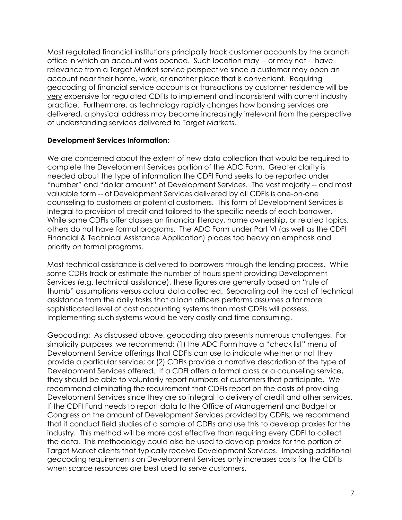Most regulated financial institutions principally track customer accounts by the branch office in which an account was opened. Such location may -- or may not -- have relevance from a Target Market service perspective since a customer may open an account near their home, work, or another place that is convenient. Requiring geocoding of financial service accounts or transactions by customer residence will be very expensive for regulated CDFIs to implement and inconsistent with current industry practice. Furthermore, as technology rapidly changes how banking services are delivered, a physical address may become increasingly irrelevant from the perspective of understanding services delivered to Target Markets.

#### **Development Services Information:**

We are concerned about the extent of new data collection that would be required to complete the Development Services portion of the ADC Form. Greater clarity is needed about the type of information the CDFI Fund seeks to be reported under "number" and "dollar amount" of Development Services. The vast majority -- and most valuable form -- of Development Services delivered by all CDFIs is one-on-one counseling to customers or potential customers. This form of Development Services is integral to provision of credit and tailored to the specific needs of each borrower. While some CDFIs offer classes on financial literacy, home ownership, or related topics, others do not have formal programs. The ADC Form under Part VI (as well as the CDFI Financial & Technical Assistance Application) places too heavy an emphasis and priority on formal programs.

Most technical assistance is delivered to borrowers through the lending process. While some CDFIs track or estimate the number of hours spent providing Development Services (e.g. technical assistance), these figures are generally based on "rule of thumb" assumptions versus actual data collected. Separating out the cost of technical assistance from the daily tasks that a loan officers performs assumes a far more sophisticated level of cost accounting systems than most CDFIs will possess. Implementing such systems would be very costly and time consuming.

Geocoding: As discussed above, geocoding also presents numerous challenges. For simplicity purposes, we recommend: (1) the ADC Form have a "check list" menu of Development Service offerings that CDFIs can use to indicate whether or not they provide a particular service; or (2) CDFIs provide a narrative description of the type of Development Services offered. If a CDFI offers a formal class or a counseling service, they should be able to voluntarily report numbers of customers that participate. We recommend eliminating the requirement that CDFIs report on the costs of providing Development Services since they are so integral to delivery of credit and other services. If the CDFI Fund needs to report data to the Office of Management and Budget or Congress on the amount of Development Services provided by CDFIs, we recommend that it conduct field studies of a sample of CDFIs and use this to develop proxies for the industry. This method will be more cost effective than requiring every CDFI to collect the data. This methodology could also be used to develop proxies for the portion of Target Market clients that typically receive Development Services. Imposing additional geocoding requirements on Development Services only increases costs for the CDFIs when scarce resources are best used to serve customers.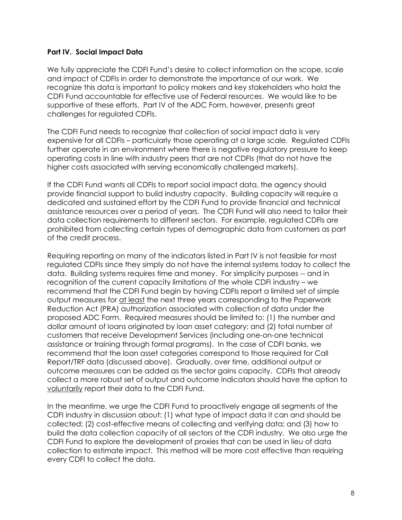# **Part IV. Social Impact Data**

We fully appreciate the CDFI Fund's desire to collect information on the scope, scale and impact of CDFIs in order to demonstrate the importance of our work. We recognize this data is important to policy makers and key stakeholders who hold the CDFI Fund accountable for effective use of Federal resources. We would like to be supportive of these efforts. Part IV of the ADC Form, however, presents great challenges for regulated CDFIs.

The CDFI Fund needs to recognize that collection of social impact data is very expensive for all CDFIs – particularly those operating at a large scale. Regulated CDFIs further operate in an environment where there is negative regulatory pressure to keep operating costs in line with industry peers that are not CDFIs (that do not have the higher costs associated with serving economically challenged markets).

If the CDFI Fund wants all CDFIs to report social impact data, the agency should provide financial support to build industry capacity. Building capacity will require a dedicated and sustained effort by the CDFI Fund to provide financial and technical assistance resources over a period of years. The CDFI Fund will also need to tailor their data collection requirements to different sectors. For example, regulated CDFIs are prohibited from collecting certain types of demographic data from customers as part of the credit process.

Requiring reporting on many of the indicators listed in Part IV is not feasible for most regulated CDFIs since they simply do not have the internal systems today to collect the data. Building systems requires time and money. For simplicity purposes -- and in recognition of the current capacity limitations of the whole CDFI industry – we recommend that the CDFI Fund begin by having CDFIs report a limited set of simple output measures for at least the next three years corresponding to the Paperwork Reduction Act (PRA) authorization associated with collection of data under the proposed ADC Form. Required measures should be limited to: (1) the number and dollar amount of loans originated by loan asset category; and (2) total number of customers that receive Development Services (including one-on-one technical assistance or training through formal programs). In the case of CDFI banks, we recommend that the loan asset categories correspond to those required for Call Report/TRF data (discussed above). Gradually, over time, additional output or outcome measures can be added as the sector gains capacity. CDFIs that already collect a more robust set of output and outcome indicators should have the option to voluntarily report their data to the CDFI Fund.

In the meantime, we urge the CDFI Fund to proactively engage all segments of the CDFI industry in discussion about: (1) what type of impact data it can and should be collected; (2) cost-effective means of collecting and verifying data; and (3) how to build the data collection capacity of all sectors of the CDFI industry. We also urge the CDFI Fund to explore the development of proxies that can be used in lieu of data collection to estimate impact. This method will be more cost effective than requiring every CDFI to collect the data.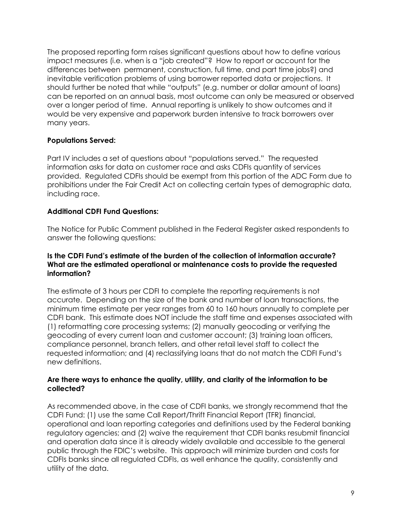The proposed reporting form raises significant questions about how to define various impact measures (i.e. when is a "job created"? How to report or account for the differences between permanent, construction, full time, and part time jobs?) and inevitable verification problems of using borrower reported data or projections. It should further be noted that while "outputs" (e.g. number or dollar amount of loans) can be reported on an annual basis, most outcome can only be measured or observed over a longer period of time. Annual reporting is unlikely to show outcomes and it would be very expensive and paperwork burden intensive to track borrowers over many years.

# **Populations Served:**

Part IV includes a set of questions about "populations served." The requested information asks for data on customer race and asks CDFIs quantity of services provided. Regulated CDFIs should be exempt from this portion of the ADC Form due to prohibitions under the Fair Credit Act on collecting certain types of demographic data, including race.

# **Additional CDFI Fund Questions:**

The Notice for Public Comment published in the Federal Register asked respondents to answer the following questions:

#### **Is the CDFI Fund's estimate of the burden of the collection of information accurate? What are the estimated operational or maintenance costs to provide the requested information?**

The estimate of 3 hours per CDFI to complete the reporting requirements is not accurate. Depending on the size of the bank and number of loan transactions, the minimum time estimate per year ranges from 60 to 160 hours annually to complete per CDFI bank. This estimate does NOT include the staff time and expenses associated with (1) reformatting core processing systems; (2) manually geocoding or verifying the geocoding of every current loan and customer account; (3) training loan officers, compliance personnel, branch tellers, and other retail level staff to collect the requested information; and (4) reclassifying loans that do not match the CDFI Fund's new definitions.

#### **Are there ways to enhance the quality, utility, and clarity of the information to be collected?**

As recommended above, in the case of CDFI banks, we strongly recommend that the CDFI Fund: (1) use the same Call Report/Thrift Financial Report (TFR) financial, operational and loan reporting categories and definitions used by the Federal banking regulatory agencies; and (2) waive the requirement that CDFI banks resubmit financial and operation data since it is already widely available and accessible to the general public through the FDIC's website. This approach will minimize burden and costs for CDFIs banks since all regulated CDFIs, as well enhance the quality, consistently and utility of the data.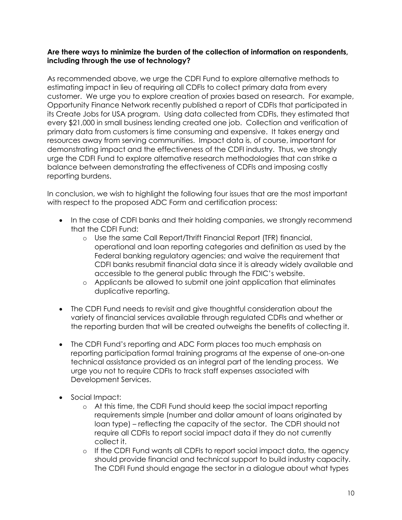# **Are there ways to minimize the burden of the collection of information on respondents, including through the use of technology?**

As recommended above, we urge the CDFI Fund to explore alternative methods to estimating impact in lieu of requiring all CDFIs to collect primary data from every customer. We urge you to explore creation of proxies based on research. For example, Opportunity Finance Network recently published a report of CDFIs that participated in its Create Jobs for USA program. Using data collected from CDFIs, they estimated that every \$21,000 in small business lending created one job. Collection and verification of primary data from customers is time consuming and expensive. It takes energy and resources away from serving communities. Impact data is, of course, important for demonstrating impact and the effectiveness of the CDFI industry. Thus, we strongly urge the CDFI Fund to explore alternative research methodologies that can strike a balance between demonstrating the effectiveness of CDFIs and imposing costly reporting burdens.

In conclusion, we wish to highlight the following four issues that are the most important with respect to the proposed ADC Form and certification process:

- In the case of CDFI banks and their holding companies, we strongly recommend that the CDFI Fund:
	- o Use the same Call Report/Thrift Financial Report (TFR) financial, operational and loan reporting categories and definition as used by the Federal banking regulatory agencies; and waive the requirement that CDFI banks resubmit financial data since it is already widely available and accessible to the general public through the FDIC's website.
	- o Applicants be allowed to submit one joint application that eliminates duplicative reporting.
- The CDFI Fund needs to revisit and give thoughtful consideration about the variety of financial services available through regulated CDFIs and whether or the reporting burden that will be created outweighs the benefits of collecting it.
- The CDFI Fund's reporting and ADC Form places too much emphasis on reporting participation formal training programs at the expense of one-on-one technical assistance provided as an integral part of the lending process. We urge you not to require CDFIs to track staff expenses associated with Development Services.
- Social Impact:
	- o At this time, the CDFI Fund should keep the social impact reporting requirements simple (number and dollar amount of loans originated by loan type) – reflecting the capacity of the sector. The CDFI should not require all CDFIs to report social impact data if they do not currently collect it.
	- o If the CDFI Fund wants all CDFIs to report social impact data, the agency should provide financial and technical support to build industry capacity. The CDFI Fund should engage the sector in a dialogue about what types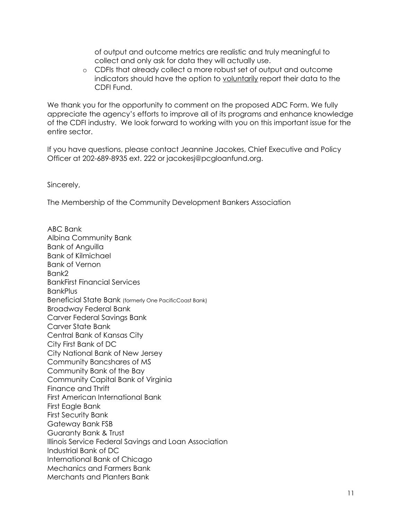of output and outcome metrics are realistic and truly meaningful to collect and only ask for data they will actually use.

o CDFIs that already collect a more robust set of output and outcome indicators should have the option to voluntarily report their data to the CDFI Fund.

We thank you for the opportunity to comment on the proposed ADC Form. We fully appreciate the agency's efforts to improve all of its programs and enhance knowledge of the CDFI industry. We look forward to working with you on this important issue for the entire sector.

If you have questions, please contact Jeannine Jacokes, Chief Executive and Policy Officer at 202-689-8935 ext. 222 or jacokesj@pcgloanfund.org.

Sincerely,

The Membership of the Community Development Bankers Association

ABC Bank Albina Community Bank Bank of Anguilla Bank of Kilmichael Bank of Vernon Bank2 BankFirst Financial Services BankPlus Beneficial State Bank (formerly One PacificCoast Bank) Broadway Federal Bank Carver Federal Savings Bank Carver State Bank Central Bank of Kansas City City First Bank of DC City National Bank of New Jersey Community Bancshares of MS Community Bank of the Bay Community Capital Bank of Virginia Finance and Thrift First American International Bank First Eagle Bank First Security Bank Gateway Bank FSB Guaranty Bank & Trust Illinois Service Federal Savings and Loan Association Industrial Bank of DC International Bank of Chicago Mechanics and Farmers Bank Merchants and Planters Bank